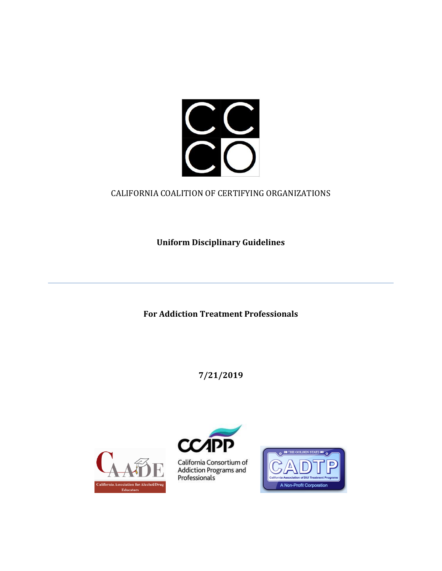

# CALIFORNIA COALITION OF CERTIFYING ORGANIZATIONS

**Uniform Disciplinary Guidelines**

**For Addiction Treatment Professionals**

**7/21/2019**





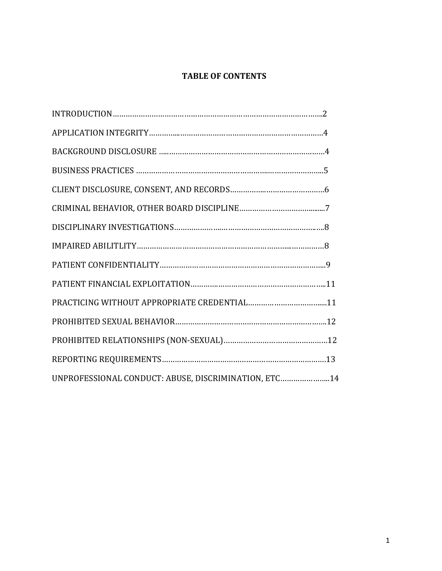# **TABLE OF CONTENTS**

| UNPROFESSIONAL CONDUCT: ABUSE, DISCRIMINATION, ETC14 |  |
|------------------------------------------------------|--|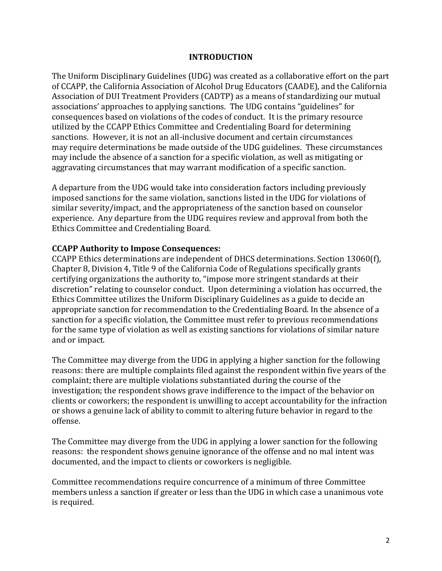#### **INTRODUCTION**

The Uniform Disciplinary Guidelines (UDG) was created as a collaborative effort on the part of CCAPP, the California Association of Alcohol Drug Educators (CAADE), and the California Association of DUI Treatment Providers (CADTP) as a means of standardizing our mutual associations' approaches to applying sanctions. The UDG contains "guidelines" for consequences based on violations of the codes of conduct. It is the primary resource utilized by the CCAPP Ethics Committee and Credentialing Board for determining sanctions. However, it is not an all-inclusive document and certain circumstances may require determinations be made outside of the UDG guidelines. These circumstances may include the absence of a sanction for a specific violation, as well as mitigating or aggravating circumstances that may warrant modification of a specific sanction.

A departure from the UDG would take into consideration factors including previously imposed sanctions for the same violation, sanctions listed in the UDG for violations of similar severity/impact, and the appropriateness of the sanction based on counselor experience. Any departure from the UDG requires review and approval from both the Ethics Committee and Credentialing Board.

#### **CCAPP Authority to Impose Consequences:**

CCAPP Ethics determinations are independent of DHCS determinations. Section 13060(f), Chapter 8, Division 4, Title 9 of the California Code of Regulations specifically grants certifying organizations the authority to, "impose more stringent standards at their discretion" relating to counselor conduct. Upon determining a violation has occurred, the Ethics Committee utilizes the Uniform Disciplinary Guidelines as a guide to decide an appropriate sanction for recommendation to the Credentialing Board. In the absence of a sanction for a specific violation, the Committee must refer to previous recommendations for the same type of violation as well as existing sanctions for violations of similar nature and or impact.

The Committee may diverge from the UDG in applying a higher sanction for the following reasons: there are multiple complaints filed against the respondent within five years of the complaint; there are multiple violations substantiated during the course of the investigation; the respondent shows grave indifference to the impact of the behavior on clients or coworkers; the respondent is unwilling to accept accountability for the infraction or shows a genuine lack of ability to commit to altering future behavior in regard to the offense.

The Committee may diverge from the UDG in applying a lower sanction for the following reasons: the respondent shows genuine ignorance of the offense and no mal intent was documented, and the impact to clients or coworkers is negligible.

Committee recommendations require concurrence of a minimum of three Committee members unless a sanction if greater or less than the UDG in which case a unanimous vote is required.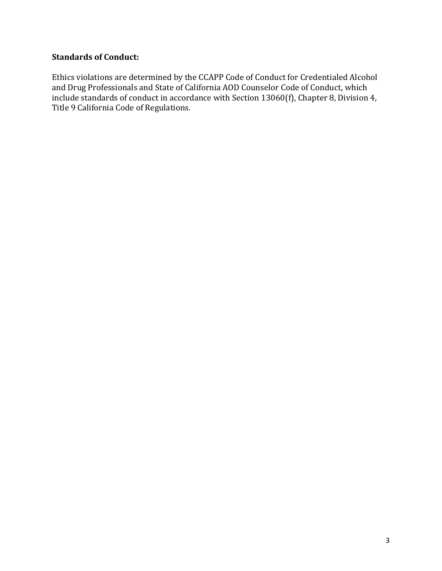# **Standards of Conduct:**

Ethics violations are determined by the CCAPP Code of Conduct for Credentialed Alcohol and Drug Professionals and State of California AOD Counselor Code of Conduct, which include standards of conduct in accordance with Section 13060(f), Chapter 8, Division 4, Title 9 California Code of Regulations.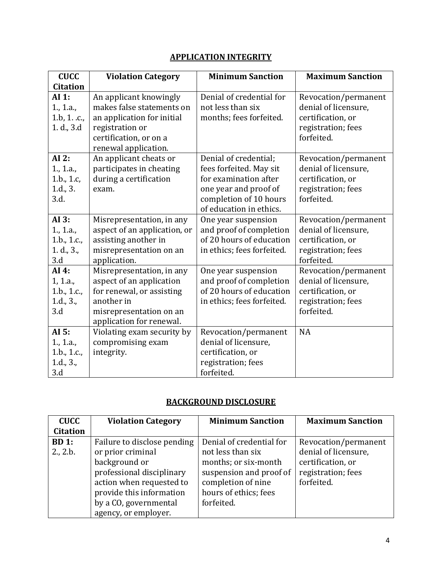# **APPLICATION INTEGRITY**

| <b>CUCC</b>     | <b>Violation Category</b>    | <b>Minimum Sanction</b>    | <b>Maximum Sanction</b> |
|-----------------|------------------------------|----------------------------|-------------------------|
| <b>Citation</b> |                              |                            |                         |
| AI 1:           | An applicant knowingly       | Denial of credential for   | Revocation/permanent    |
| 1., 1.a.,       | makes false statements on    | not less than six          | denial of licensure,    |
| 1.b, 1. .c.,    | an application for initial   | months; fees forfeited.    | certification, or       |
| 1. d., 3.d      | registration or              |                            | registration; fees      |
|                 | certification, or on a       |                            | forfeited.              |
|                 | renewal application.         |                            |                         |
| AI 2:           | An applicant cheats or       | Denial of credential;      | Revocation/permanent    |
| 1., 1.a.,       | participates in cheating     | fees forfeited. May sit    | denial of licensure,    |
| 1.b., 1.c,      | during a certification       | for examination after      | certification, or       |
| 1.d., 3.        | exam.                        | one year and proof of      | registration; fees      |
| 3.d.            |                              | completion of 10 hours     | forfeited.              |
|                 |                              | of education in ethics.    |                         |
| AI 3:           | Misrepresentation, in any    | One year suspension        | Revocation/permanent    |
| 1., 1.a.,       | aspect of an application, or | and proof of completion    | denial of licensure,    |
| 1.b., 1.c.,     | assisting another in         | of 20 hours of education   | certification, or       |
| 1. d., 3.,      | misrepresentation on an      | in ethics; fees forfeited. | registration; fees      |
| 3.d             | application.                 |                            | forfeited.              |
| AI 4:           | Misrepresentation, in any    | One year suspension        | Revocation/permanent    |
| 1, 1.a.,        | aspect of an application     | and proof of completion    | denial of licensure,    |
| 1.b., 1.c.,     | for renewal, or assisting    | of 20 hours of education   | certification, or       |
| 1.d., 3.,       | another in                   | in ethics; fees forfeited. | registration; fees      |
| 3.d             | misrepresentation on an      |                            | forfeited.              |
|                 | application for renewal.     |                            |                         |
| AI 5:           | Violating exam security by   | Revocation/permanent       | <b>NA</b>               |
| 1., 1.a.,       | compromising exam            | denial of licensure,       |                         |
| 1.b., 1.c.,     | integrity.                   | certification, or          |                         |
| 1.d., 3.,       |                              | registration; fees         |                         |
| 3.d             |                              | forfeited.                 |                         |

## **BACKGROUND DISCLOSURE**

| <b>CUCC</b>     | <b>Violation Category</b>   | <b>Minimum Sanction</b>  | <b>Maximum Sanction</b> |
|-----------------|-----------------------------|--------------------------|-------------------------|
| <b>Citation</b> |                             |                          |                         |
| BD 1:           | Failure to disclose pending | Denial of credential for | Revocation/permanent    |
| 2., 2.b.        | or prior criminal           | not less than six        | denial of licensure,    |
|                 | background or               | months; or six-month     | certification, or       |
|                 | professional disciplinary   | suspension and proof of  | registration; fees      |
|                 | action when requested to    | completion of nine       | forfeited.              |
|                 | provide this information    | hours of ethics; fees    |                         |
|                 | by a CO, governmental       | forfeited.               |                         |
|                 | agency, or employer.        |                          |                         |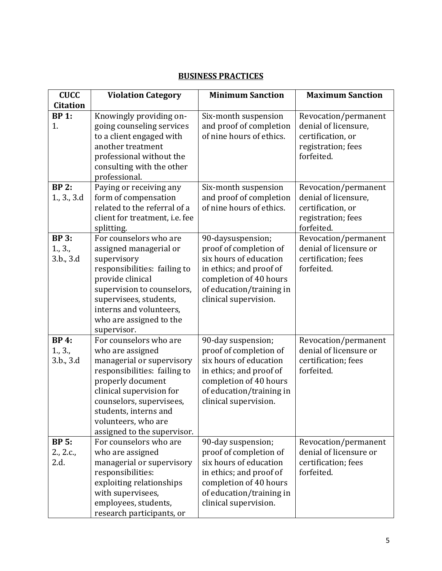#### **BUSINESS PRACTICES**

| <b>CUCC</b>                          | <b>Violation Category</b>                                                                                                                                                                                                                                           | <b>Minimum Sanction</b>                                                                                                                                                          | <b>Maximum Sanction</b>                                                                               |
|--------------------------------------|---------------------------------------------------------------------------------------------------------------------------------------------------------------------------------------------------------------------------------------------------------------------|----------------------------------------------------------------------------------------------------------------------------------------------------------------------------------|-------------------------------------------------------------------------------------------------------|
| <b>Citation</b>                      |                                                                                                                                                                                                                                                                     |                                                                                                                                                                                  |                                                                                                       |
| <b>BP 1:</b><br>1.                   | Knowingly providing on-<br>going counseling services<br>to a client engaged with<br>another treatment<br>professional without the<br>consulting with the other                                                                                                      | Six-month suspension<br>and proof of completion<br>of nine hours of ethics.                                                                                                      | Revocation/permanent<br>denial of licensure,<br>certification, or<br>registration; fees<br>forfeited. |
|                                      | professional.                                                                                                                                                                                                                                                       |                                                                                                                                                                                  |                                                                                                       |
| <b>BP 2:</b><br>1., 3., 3.d          | Paying or receiving any<br>form of compensation<br>related to the referral of a<br>client for treatment, i.e. fee<br>splitting.                                                                                                                                     | Six-month suspension<br>and proof of completion<br>of nine hours of ethics.                                                                                                      | Revocation/permanent<br>denial of licensure,<br>certification, or<br>registration; fees<br>forfeited. |
| <b>BP 3:</b><br>1., 3.,<br>3.b., 3.d | For counselors who are<br>assigned managerial or<br>supervisory<br>responsibilities: failing to<br>provide clinical<br>supervision to counselors,<br>supervisees, students,<br>interns and volunteers,<br>who are assigned to the<br>supervisor.                    | 90-daysuspension;<br>proof of completion of<br>six hours of education<br>in ethics; and proof of<br>completion of 40 hours<br>of education/training in<br>clinical supervision.  | Revocation/permanent<br>denial of licensure or<br>certification; fees<br>forfeited.                   |
| <b>BP 4:</b><br>1., 3.,<br>3.b., 3.d | For counselors who are<br>who are assigned<br>managerial or supervisory<br>responsibilities: failing to<br>properly document<br>clinical supervision for<br>counselors, supervisees,<br>students, interns and<br>volunteers, who are<br>assigned to the supervisor. | 90-day suspension;<br>proof of completion of<br>six hours of education<br>in ethics; and proof of<br>completion of 40 hours<br>of education/training in<br>clinical supervision. | Revocation/permanent<br>denial of licensure or<br>certification; fees<br>forfeited.                   |
| <b>BP 5:</b><br>2., 2.c.,<br>2.d.    | For counselors who are<br>who are assigned<br>managerial or supervisory<br>responsibilities:<br>exploiting relationships<br>with supervisees,<br>employees, students,<br>research participants, or                                                                  | 90-day suspension;<br>proof of completion of<br>six hours of education<br>in ethics; and proof of<br>completion of 40 hours<br>of education/training in<br>clinical supervision. | Revocation/permanent<br>denial of licensure or<br>certification; fees<br>forfeited.                   |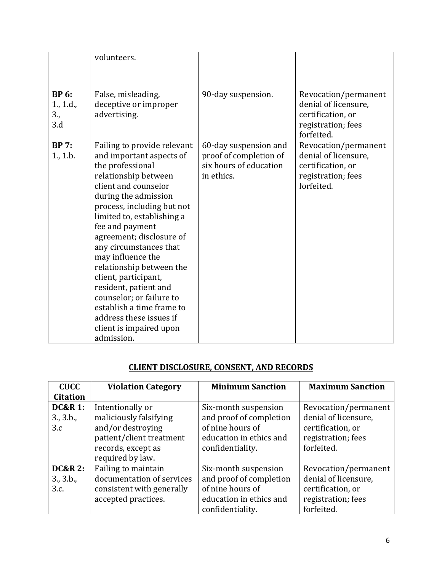|                                         | volunteers.                                                                                                                                                                                                                                                                                                                                                                                                                                                                                                             |                                                                                         |                                                                                                       |
|-----------------------------------------|-------------------------------------------------------------------------------------------------------------------------------------------------------------------------------------------------------------------------------------------------------------------------------------------------------------------------------------------------------------------------------------------------------------------------------------------------------------------------------------------------------------------------|-----------------------------------------------------------------------------------------|-------------------------------------------------------------------------------------------------------|
|                                         |                                                                                                                                                                                                                                                                                                                                                                                                                                                                                                                         |                                                                                         |                                                                                                       |
| <b>BP</b> 6:<br>1., 1.d.,<br>3.,<br>3.d | False, misleading,<br>deceptive or improper<br>advertising.                                                                                                                                                                                                                                                                                                                                                                                                                                                             | 90-day suspension.                                                                      | Revocation/permanent<br>denial of licensure,<br>certification, or<br>registration; fees<br>forfeited. |
| <b>BP</b> 7:<br>1., 1.b.                | Failing to provide relevant<br>and important aspects of<br>the professional<br>relationship between<br>client and counselor<br>during the admission<br>process, including but not<br>limited to, establishing a<br>fee and payment<br>agreement; disclosure of<br>any circumstances that<br>may influence the<br>relationship between the<br>client, participant,<br>resident, patient and<br>counselor; or failure to<br>establish a time frame to<br>address these issues if<br>client is impaired upon<br>admission. | 60-day suspension and<br>proof of completion of<br>six hours of education<br>in ethics. | Revocation/permanent<br>denial of licensure,<br>certification, or<br>registration; fees<br>forfeited. |

## **CLIENT DISCLOSURE, CONSENT, AND RECORDS**

| <b>CUCC</b>                            | <b>Violation Category</b>                                                                                         | <b>Minimum Sanction</b>                                                                                            | <b>Maximum Sanction</b>                                                                               |
|----------------------------------------|-------------------------------------------------------------------------------------------------------------------|--------------------------------------------------------------------------------------------------------------------|-------------------------------------------------------------------------------------------------------|
| <b>Citation</b>                        |                                                                                                                   |                                                                                                                    |                                                                                                       |
| <b>DC&amp;R 1:</b><br>3., 3.b.,<br>3.c | Intentionally or<br>maliciously falsifying<br>and/or destroying<br>patient/client treatment<br>records, except as | Six-month suspension<br>and proof of completion<br>of nine hours of<br>education in ethics and<br>confidentiality. | Revocation/permanent<br>denial of licensure,<br>certification, or<br>registration; fees<br>forfeited. |
|                                        | required by law.                                                                                                  |                                                                                                                    |                                                                                                       |
| <b>DC&amp;R 2:</b>                     | Failing to maintain                                                                                               | Six-month suspension                                                                                               | Revocation/permanent                                                                                  |
| 3, 3.b.                                | documentation of services                                                                                         | and proof of completion                                                                                            | denial of licensure,                                                                                  |
| 3.c.                                   | consistent with generally                                                                                         | of nine hours of                                                                                                   | certification, or                                                                                     |
|                                        | accepted practices.                                                                                               | education in ethics and                                                                                            | registration; fees                                                                                    |
|                                        |                                                                                                                   | confidentiality.                                                                                                   | forfeited.                                                                                            |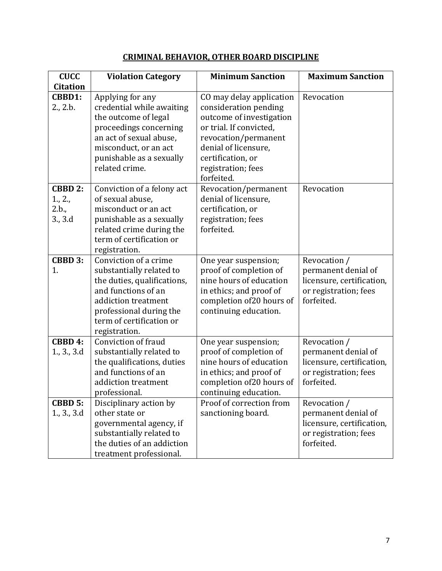# **CRIMINAL BEHAVIOR, OTHER BOARD DISCIPLINE**

| <b>CUCC</b>                                   | <b>Violation Category</b>                                                                                                                                                                              | <b>Minimum Sanction</b>                                                                                                                                                                                           | <b>Maximum Sanction</b>                                                                                 |
|-----------------------------------------------|--------------------------------------------------------------------------------------------------------------------------------------------------------------------------------------------------------|-------------------------------------------------------------------------------------------------------------------------------------------------------------------------------------------------------------------|---------------------------------------------------------------------------------------------------------|
| <b>Citation</b>                               |                                                                                                                                                                                                        |                                                                                                                                                                                                                   |                                                                                                         |
| CBBD1:<br>2., 2.b.                            | Applying for any<br>credential while awaiting<br>the outcome of legal<br>proceedings concerning<br>an act of sexual abuse,<br>misconduct, or an act<br>punishable as a sexually<br>related crime.      | CO may delay application<br>consideration pending<br>outcome of investigation<br>or trial. If convicted,<br>revocation/permanent<br>denial of licensure,<br>certification, or<br>registration; fees<br>forfeited. | Revocation                                                                                              |
| <b>CBBD 2:</b><br>1., 2.,<br>2.b.,<br>3., 3.d | Conviction of a felony act<br>of sexual abuse,<br>misconduct or an act<br>punishable as a sexually<br>related crime during the<br>term of certification or<br>registration.                            | Revocation/permanent<br>denial of licensure,<br>certification, or<br>registration; fees<br>forfeited.                                                                                                             | Revocation                                                                                              |
| <b>CBBD 3:</b><br>1.                          | Conviction of a crime<br>substantially related to<br>the duties, qualifications,<br>and functions of an<br>addiction treatment<br>professional during the<br>term of certification or<br>registration. | One year suspension;<br>proof of completion of<br>nine hours of education<br>in ethics; and proof of<br>completion of 20 hours of<br>continuing education.                                                        | Revocation /<br>permanent denial of<br>licensure, certification,<br>or registration; fees<br>forfeited. |
| CBBD 4:<br>1., 3., 3.d                        | Conviction of fraud<br>substantially related to<br>the qualifications, duties<br>and functions of an<br>addiction treatment<br>professional.                                                           | One year suspension;<br>proof of completion of<br>nine hours of education<br>in ethics; and proof of<br>completion of 20 hours of<br>continuing education.                                                        | Revocation /<br>permanent denial of<br>licensure, certification,<br>or registration; fees<br>forfeited. |
| <b>CBBD 5:</b><br>1, 3, 3d                    | Disciplinary action by<br>other state or<br>governmental agency, if<br>substantially related to<br>the duties of an addiction<br>treatment professional.                                               | Proof of correction from<br>sanctioning board.                                                                                                                                                                    | Revocation /<br>permanent denial of<br>licensure, certification,<br>or registration; fees<br>forfeited. |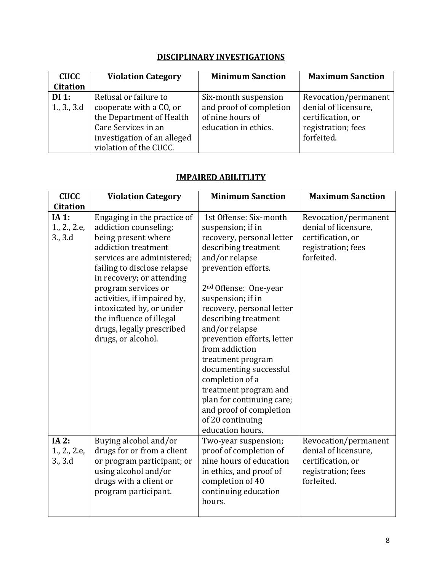# **DISCIPLINARY INVESTIGATIONS**

| <b>CUCC</b>     | <b>Violation Category</b>   | <b>Minimum Sanction</b> | <b>Maximum Sanction</b> |
|-----------------|-----------------------------|-------------------------|-------------------------|
| <b>Citation</b> |                             |                         |                         |
| $DI$ 1:         | Refusal or failure to       | Six-month suspension    | Revocation/permanent    |
| 1, 3, 3d        | cooperate with a CO, or     | and proof of completion | denial of licensure,    |
|                 | the Department of Health    | of nine hours of        | certification, or       |
|                 | Care Services in an         | education in ethics.    | registration; fees      |
|                 | investigation of an alleged |                         | forfeited.              |
|                 | violation of the CUCC.      |                         |                         |

# **IMPAIRED ABILITLITY**

| <b>CUCC</b>                      | <b>Violation Category</b>                                                                                                                                                                                                                                                                                                                                     | <b>Minimum Sanction</b>                                                                                                                                                                                                                                                                                                                                                                                                                                                                                               | <b>Maximum Sanction</b>                                                                               |
|----------------------------------|---------------------------------------------------------------------------------------------------------------------------------------------------------------------------------------------------------------------------------------------------------------------------------------------------------------------------------------------------------------|-----------------------------------------------------------------------------------------------------------------------------------------------------------------------------------------------------------------------------------------------------------------------------------------------------------------------------------------------------------------------------------------------------------------------------------------------------------------------------------------------------------------------|-------------------------------------------------------------------------------------------------------|
| <b>Citation</b>                  |                                                                                                                                                                                                                                                                                                                                                               |                                                                                                                                                                                                                                                                                                                                                                                                                                                                                                                       |                                                                                                       |
| IA 1:<br>1., 2., 2.e,<br>3., 3.d | Engaging in the practice of<br>addiction counseling;<br>being present where<br>addiction treatment<br>services are administered;<br>failing to disclose relapse<br>in recovery; or attending<br>program services or<br>activities, if impaired by,<br>intoxicated by, or under<br>the influence of illegal<br>drugs, legally prescribed<br>drugs, or alcohol. | 1st Offense: Six-month<br>suspension; if in<br>recovery, personal letter<br>describing treatment<br>and/or relapse<br>prevention efforts.<br>2 <sup>nd</sup> Offense: One-year<br>suspension; if in<br>recovery, personal letter<br>describing treatment<br>and/or relapse<br>prevention efforts, letter<br>from addiction<br>treatment program<br>documenting successful<br>completion of a<br>treatment program and<br>plan for continuing care;<br>and proof of completion<br>of 20 continuing<br>education hours. | Revocation/permanent<br>denial of licensure,<br>certification, or<br>registration; fees<br>forfeited. |
| IA 2:<br>1., 2., 2.e,<br>3., 3.d | Buying alcohol and/or<br>drugs for or from a client<br>or program participant; or<br>using alcohol and/or<br>drugs with a client or<br>program participant.                                                                                                                                                                                                   | Two-year suspension;<br>proof of completion of<br>nine hours of education<br>in ethics, and proof of<br>completion of 40<br>continuing education<br>hours.                                                                                                                                                                                                                                                                                                                                                            | Revocation/permanent<br>denial of licensure,<br>certification, or<br>registration; fees<br>forfeited. |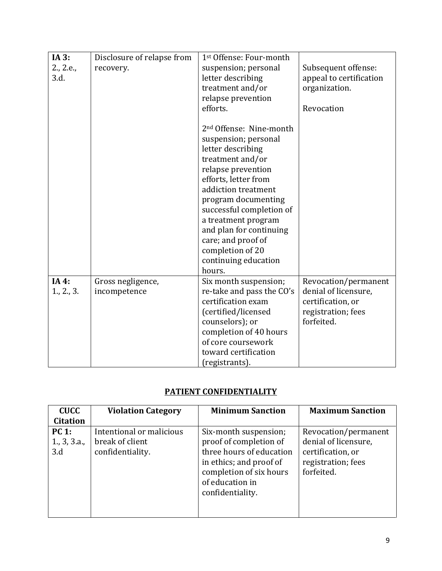| IA 3:     | Disclosure of relapse from | 1st Offense: Four-month             |                         |
|-----------|----------------------------|-------------------------------------|-------------------------|
| 2., 2.e., | recovery.                  | suspension; personal                | Subsequent offense:     |
| 3.d.      |                            | letter describing                   | appeal to certification |
|           |                            | treatment and/or                    | organization.           |
|           |                            | relapse prevention                  |                         |
|           |                            | efforts.                            | Revocation              |
|           |                            | 2 <sup>nd</sup> Offense: Nine-month |                         |
|           |                            | suspension; personal                |                         |
|           |                            | letter describing                   |                         |
|           |                            | treatment and/or                    |                         |
|           |                            | relapse prevention                  |                         |
|           |                            | efforts, letter from                |                         |
|           |                            | addiction treatment                 |                         |
|           |                            | program documenting                 |                         |
|           |                            | successful completion of            |                         |
|           |                            | a treatment program                 |                         |
|           |                            | and plan for continuing             |                         |
|           |                            | care; and proof of                  |                         |
|           |                            | completion of 20                    |                         |
|           |                            | continuing education                |                         |
|           |                            | hours.                              |                         |
| IA 4:     | Gross negligence,          | Six month suspension;               | Revocation/permanent    |
| 1, 2, 3.  | incompetence               | re-take and pass the CO's           | denial of licensure,    |
|           |                            | certification exam                  | certification, or       |
|           |                            | (certified/licensed                 | registration; fees      |
|           |                            | counselors); or                     | forfeited.              |
|           |                            | completion of 40 hours              |                         |
|           |                            | of core coursework                  |                         |
|           |                            | toward certification                |                         |
|           |                            | (registrants).                      |                         |

# **PATIENT CONFIDENTIALITY**

| <b>CUCC</b><br><b>Citation</b>     | <b>Violation Category</b>                                       | <b>Minimum Sanction</b>                                                                                                                                                  | <b>Maximum Sanction</b>                                                                               |
|------------------------------------|-----------------------------------------------------------------|--------------------------------------------------------------------------------------------------------------------------------------------------------------------------|-------------------------------------------------------------------------------------------------------|
| <b>PC 1:</b><br>1, 3, 3.a.,<br>3.d | Intentional or malicious<br>break of client<br>confidentiality. | Six-month suspension;<br>proof of completion of<br>three hours of education<br>in ethics; and proof of<br>completion of six hours<br>of education in<br>confidentiality. | Revocation/permanent<br>denial of licensure,<br>certification, or<br>registration; fees<br>forfeited. |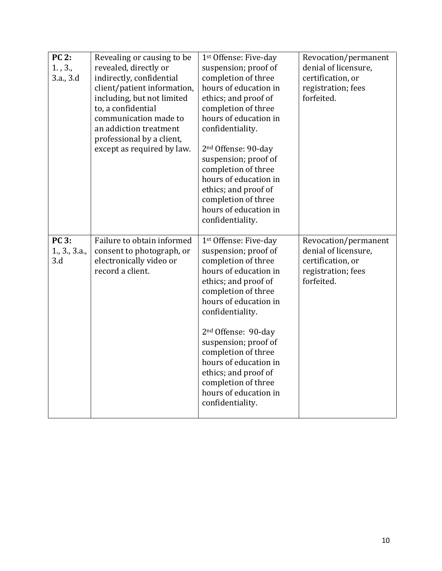| <b>PC 2:</b><br>1.73.7<br>3.a., 3.d  | Revealing or causing to be<br>revealed, directly or<br>indirectly, confidential<br>client/patient information,<br>including, but not limited<br>to, a confidential<br>communication made to<br>an addiction treatment<br>professional by a client,<br>except as required by law. | 1st Offense: Five-day<br>suspension; proof of<br>completion of three<br>hours of education in<br>ethics; and proof of<br>completion of three<br>hours of education in<br>confidentiality.<br>2 <sup>nd</sup> Offense: 90-day<br>suspension; proof of<br>completion of three<br>hours of education in<br>ethics; and proof of<br>completion of three<br>hours of education in<br>confidentiality. | Revocation/permanent<br>denial of licensure,<br>certification, or<br>registration; fees<br>forfeited. |
|--------------------------------------|----------------------------------------------------------------------------------------------------------------------------------------------------------------------------------------------------------------------------------------------------------------------------------|--------------------------------------------------------------------------------------------------------------------------------------------------------------------------------------------------------------------------------------------------------------------------------------------------------------------------------------------------------------------------------------------------|-------------------------------------------------------------------------------------------------------|
| <b>PC 3:</b><br>1., 3., 3.a.,<br>3.d | Failure to obtain informed<br>consent to photograph, or<br>electronically video or<br>record a client.                                                                                                                                                                           | 1st Offense: Five-day<br>suspension; proof of<br>completion of three<br>hours of education in<br>ethics; and proof of<br>completion of three<br>hours of education in<br>confidentiality.<br>2 <sup>nd</sup> Offense: 90-day<br>suspension; proof of<br>completion of three<br>hours of education in<br>ethics; and proof of<br>completion of three<br>hours of education in<br>confidentiality. | Revocation/permanent<br>denial of licensure,<br>certification, or<br>registration; fees<br>forfeited. |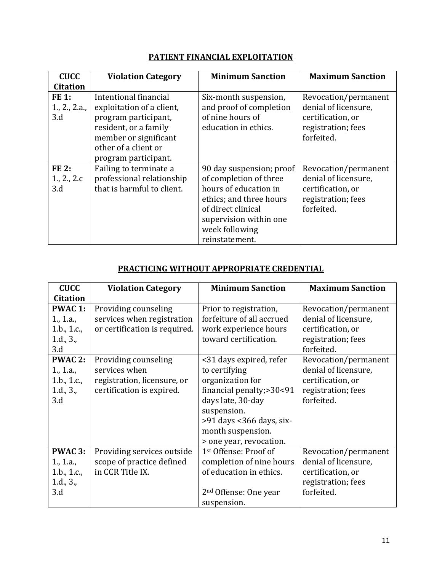# **PATIENT FINANCIAL EXPLOITATION**

| <b>CUCC</b>                       | <b>Violation Category</b>                                                                                                                                                    | <b>Minimum Sanction</b>                                                                                                                                                                    | <b>Maximum Sanction</b>                                                                               |
|-----------------------------------|------------------------------------------------------------------------------------------------------------------------------------------------------------------------------|--------------------------------------------------------------------------------------------------------------------------------------------------------------------------------------------|-------------------------------------------------------------------------------------------------------|
| <b>Citation</b>                   |                                                                                                                                                                              |                                                                                                                                                                                            |                                                                                                       |
| FE 1:<br>1, 2, 2.a.<br>3.d        | Intentional financial<br>exploitation of a client,<br>program participant,<br>resident, or a family<br>member or significant<br>other of a client or<br>program participant. | Six-month suspension,<br>and proof of completion<br>of nine hours of<br>education in ethics.                                                                                               | Revocation/permanent<br>denial of licensure,<br>certification, or<br>registration; fees<br>forfeited. |
| <b>FE2:</b><br>1., 2., 2.c<br>3.d | Failing to terminate a<br>professional relationship<br>that is harmful to client.                                                                                            | 90 day suspension; proof<br>of completion of three<br>hours of education in<br>ethics; and three hours<br>of direct clinical<br>supervision within one<br>week following<br>reinstatement. | Revocation/permanent<br>denial of licensure,<br>certification, or<br>registration; fees<br>forfeited. |

### **PRACTICING WITHOUT APPROPRIATE CREDENTIAL**

| <b>CUCC</b>                                                    | <b>Violation Category</b>                                                                         | <b>Minimum Sanction</b>                                                                                                                                                                                  | <b>Maximum Sanction</b>                                                                               |
|----------------------------------------------------------------|---------------------------------------------------------------------------------------------------|----------------------------------------------------------------------------------------------------------------------------------------------------------------------------------------------------------|-------------------------------------------------------------------------------------------------------|
| <b>Citation</b>                                                |                                                                                                   |                                                                                                                                                                                                          |                                                                                                       |
| <b>PWAC 1:</b>                                                 | Providing counseling                                                                              | Prior to registration,                                                                                                                                                                                   | Revocation/permanent                                                                                  |
| 1., 1.a.,                                                      | services when registration                                                                        | forfeiture of all accrued                                                                                                                                                                                | denial of licensure,                                                                                  |
| 1.b., 1.c.,                                                    | or certification is required.                                                                     | work experience hours                                                                                                                                                                                    | certification, or                                                                                     |
| 1.d., 3.,                                                      |                                                                                                   | toward certification.                                                                                                                                                                                    | registration; fees                                                                                    |
| 3.d                                                            |                                                                                                   |                                                                                                                                                                                                          | forfeited.                                                                                            |
| <b>PWAC 2:</b><br>1., 1.a.,<br>1.b., 1.c.,<br>1.d., 3.,<br>3.d | Providing counseling<br>services when<br>registration, licensure, or<br>certification is expired. | <31 days expired, refer<br>to certifying<br>organization for<br>financial penalty;>30<91<br>days late, 30-day<br>suspension.<br>>91 days <366 days, six-<br>month suspension.<br>> one year, revocation. | Revocation/permanent<br>denial of licensure,<br>certification, or<br>registration; fees<br>forfeited. |
| <b>PWAC 3:</b><br>1., 1.a.,<br>1.b., $1.c.,$<br>1.d., 3.,      | Providing services outside<br>scope of practice defined<br>in CCR Title IX.                       | 1st Offense: Proof of<br>completion of nine hours<br>of education in ethics.                                                                                                                             | Revocation/permanent<br>denial of licensure,<br>certification, or<br>registration; fees               |
| 3.d                                                            |                                                                                                   | 2 <sup>nd</sup> Offense: One year<br>suspension.                                                                                                                                                         | forfeited.                                                                                            |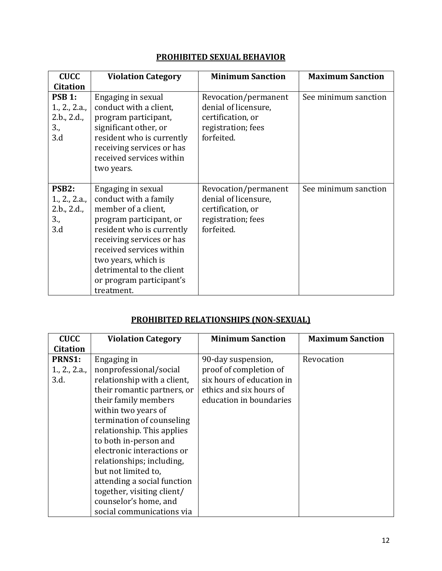# **PROHIBITED SEXUAL BEHAVIOR**

| <b>CUCC</b>                                                      | <b>Violation Category</b>                                                                                                                                                                                                                                                         | <b>Minimum Sanction</b>                                                                               | <b>Maximum Sanction</b> |
|------------------------------------------------------------------|-----------------------------------------------------------------------------------------------------------------------------------------------------------------------------------------------------------------------------------------------------------------------------------|-------------------------------------------------------------------------------------------------------|-------------------------|
| <b>Citation</b>                                                  |                                                                                                                                                                                                                                                                                   |                                                                                                       |                         |
| <b>PSB 1:</b><br>1, 2, 2.a.<br>2.b., 2.d.,<br>3.,<br>3.d         | Engaging in sexual<br>conduct with a client,<br>program participant,<br>significant other, or<br>resident who is currently<br>receiving services or has<br>received services within<br>two years.                                                                                 | Revocation/permanent<br>denial of licensure,<br>certification, or<br>registration; fees<br>forfeited. | See minimum sanction    |
| PSB <sub>2</sub> :<br>1., 2., 2.a.,<br>2.b., 2.d.,<br>3.,<br>3.d | Engaging in sexual<br>conduct with a family<br>member of a client,<br>program participant, or<br>resident who is currently<br>receiving services or has<br>received services within<br>two years, which is<br>detrimental to the client<br>or program participant's<br>treatment. | Revocation/permanent<br>denial of licensure,<br>certification, or<br>registration; fees<br>forfeited. | See minimum sanction    |

## **PROHIBITED RELATIONSHIPS (NON-SEXUAL)**

| <b>CUCC</b>     | <b>Violation Category</b>   | <b>Minimum Sanction</b>   | <b>Maximum Sanction</b> |
|-----------------|-----------------------------|---------------------------|-------------------------|
| <b>Citation</b> |                             |                           |                         |
| <b>PRNS1:</b>   | Engaging in                 | 90-day suspension,        | Revocation              |
| 1, 2, 2.a.      | nonprofessional/social      | proof of completion of    |                         |
| 3.d.            | relationship with a client, | six hours of education in |                         |
|                 | their romantic partners, or | ethics and six hours of   |                         |
|                 | their family members        | education in boundaries   |                         |
|                 | within two years of         |                           |                         |
|                 | termination of counseling   |                           |                         |
|                 | relationship. This applies  |                           |                         |
|                 | to both in-person and       |                           |                         |
|                 | electronic interactions or  |                           |                         |
|                 | relationships; including,   |                           |                         |
|                 | but not limited to,         |                           |                         |
|                 | attending a social function |                           |                         |
|                 | together, visiting client/  |                           |                         |
|                 | counselor's home, and       |                           |                         |
|                 | social communications via   |                           |                         |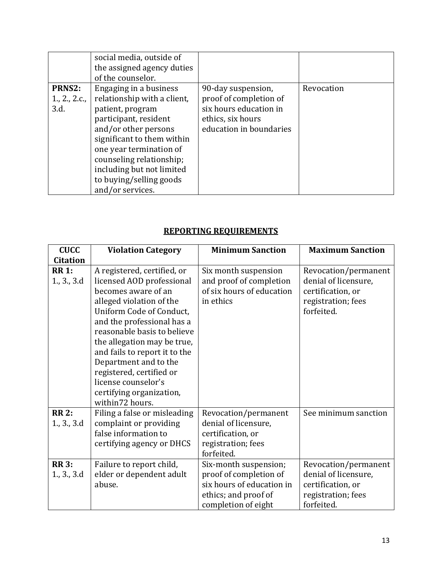|                                        | social media, outside of<br>the assigned agency duties<br>of the counselor.                                                                                                                                                                                                                 |                                                                                                                        |            |
|----------------------------------------|---------------------------------------------------------------------------------------------------------------------------------------------------------------------------------------------------------------------------------------------------------------------------------------------|------------------------------------------------------------------------------------------------------------------------|------------|
| <b>PRNS2:</b><br>1., 2., 2.c.,<br>3.d. | Engaging in a business<br>relationship with a client,<br>patient, program<br>participant, resident<br>and/or other persons<br>significant to them within<br>one year termination of<br>counseling relationship;<br>including but not limited<br>to buying/selling goods<br>and/or services. | 90-day suspension,<br>proof of completion of<br>six hours education in<br>ethics, six hours<br>education in boundaries | Revocation |

#### **REPORTING REQUIREMENTS**

| <b>CUCC</b>                 | <b>Violation Category</b>                                                                                                                                                                                                                                                                                                                                                                       | <b>Minimum Sanction</b>                                                                                                     | <b>Maximum Sanction</b>                                                                               |
|-----------------------------|-------------------------------------------------------------------------------------------------------------------------------------------------------------------------------------------------------------------------------------------------------------------------------------------------------------------------------------------------------------------------------------------------|-----------------------------------------------------------------------------------------------------------------------------|-------------------------------------------------------------------------------------------------------|
| <b>Citation</b>             |                                                                                                                                                                                                                                                                                                                                                                                                 |                                                                                                                             |                                                                                                       |
| <b>RR 1:</b><br>1., 3., 3.d | A registered, certified, or<br>licensed AOD professional<br>becomes aware of an<br>alleged violation of the<br>Uniform Code of Conduct,<br>and the professional has a<br>reasonable basis to believe<br>the allegation may be true,<br>and fails to report it to the<br>Department and to the<br>registered, certified or<br>license counselor's<br>certifying organization,<br>within72 hours. | Six month suspension<br>and proof of completion<br>of six hours of education<br>in ethics                                   | Revocation/permanent<br>denial of licensure,<br>certification, or<br>registration; fees<br>forfeited. |
| <b>RR 2:</b><br>1., 3., 3.d | Filing a false or misleading<br>complaint or providing<br>false information to<br>certifying agency or DHCS                                                                                                                                                                                                                                                                                     | Revocation/permanent<br>denial of licensure,<br>certification, or<br>registration; fees<br>forfeited.                       | See minimum sanction                                                                                  |
| <b>RR 3:</b><br>1., 3., 3.d | Failure to report child,<br>elder or dependent adult<br>abuse.                                                                                                                                                                                                                                                                                                                                  | Six-month suspension;<br>proof of completion of<br>six hours of education in<br>ethics; and proof of<br>completion of eight | Revocation/permanent<br>denial of licensure,<br>certification, or<br>registration; fees<br>forfeited. |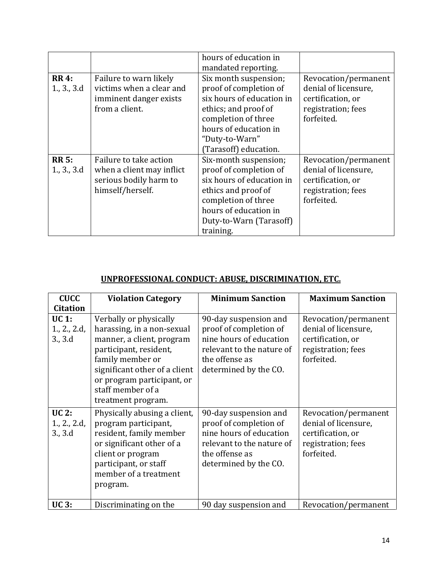|                             |                                                                                                   | hours of education in<br>mandated reporting.                                                                                                                                                    |                                                                                                       |
|-----------------------------|---------------------------------------------------------------------------------------------------|-------------------------------------------------------------------------------------------------------------------------------------------------------------------------------------------------|-------------------------------------------------------------------------------------------------------|
| <b>RR 4:</b><br>1, 3, 3d    | Failure to warn likely<br>victims when a clear and<br>imminent danger exists<br>from a client.    | Six month suspension;<br>proof of completion of<br>six hours of education in<br>ethics; and proof of<br>completion of three<br>hours of education in<br>"Duty-to-Warn"<br>(Tarasoff) education. | Revocation/permanent<br>denial of licensure,<br>certification, or<br>registration; fees<br>forfeited. |
| <b>RR 5:</b><br>1., 3., 3.d | Failure to take action<br>when a client may inflict<br>serious bodily harm to<br>himself/herself. | Six-month suspension;<br>proof of completion of<br>six hours of education in<br>ethics and proof of<br>completion of three<br>hours of education in<br>Duty-to-Warn (Tarasoff)<br>training.     | Revocation/permanent<br>denial of licensure,<br>certification, or<br>registration; fees<br>forfeited. |

## **UNPROFESSIONAL CONDUCT: ABUSE, DISCRIMINATION, ETC.**

| <b>CUCC</b>                             | <b>Violation Category</b>                                                                                                                                                                                                                 | <b>Minimum Sanction</b>                                                                                                                            | <b>Maximum Sanction</b>                                                                               |
|-----------------------------------------|-------------------------------------------------------------------------------------------------------------------------------------------------------------------------------------------------------------------------------------------|----------------------------------------------------------------------------------------------------------------------------------------------------|-------------------------------------------------------------------------------------------------------|
| <b>Citation</b>                         |                                                                                                                                                                                                                                           |                                                                                                                                                    |                                                                                                       |
| UC 1:<br>1., 2., 2.d,<br>3., 3.d        | Verbally or physically<br>harassing, in a non-sexual<br>manner, a client, program<br>participant, resident,<br>family member or<br>significant other of a client<br>or program participant, or<br>staff member of a<br>treatment program. | 90-day suspension and<br>proof of completion of<br>nine hours of education<br>relevant to the nature of<br>the offense as<br>determined by the CO. | Revocation/permanent<br>denial of licensure,<br>certification, or<br>registration; fees<br>forfeited. |
| <b>UC 2:</b><br>1., 2., 2.d,<br>3., 3.d | Physically abusing a client,<br>program participant,<br>resident, family member<br>or significant other of a<br>client or program<br>participant, or staff<br>member of a treatment<br>program.                                           | 90-day suspension and<br>proof of completion of<br>nine hours of education<br>relevant to the nature of<br>the offense as<br>determined by the CO. | Revocation/permanent<br>denial of licensure,<br>certification, or<br>registration; fees<br>forfeited. |
| <b>UC3:</b>                             | Discriminating on the                                                                                                                                                                                                                     | 90 day suspension and                                                                                                                              | Revocation/permanent                                                                                  |